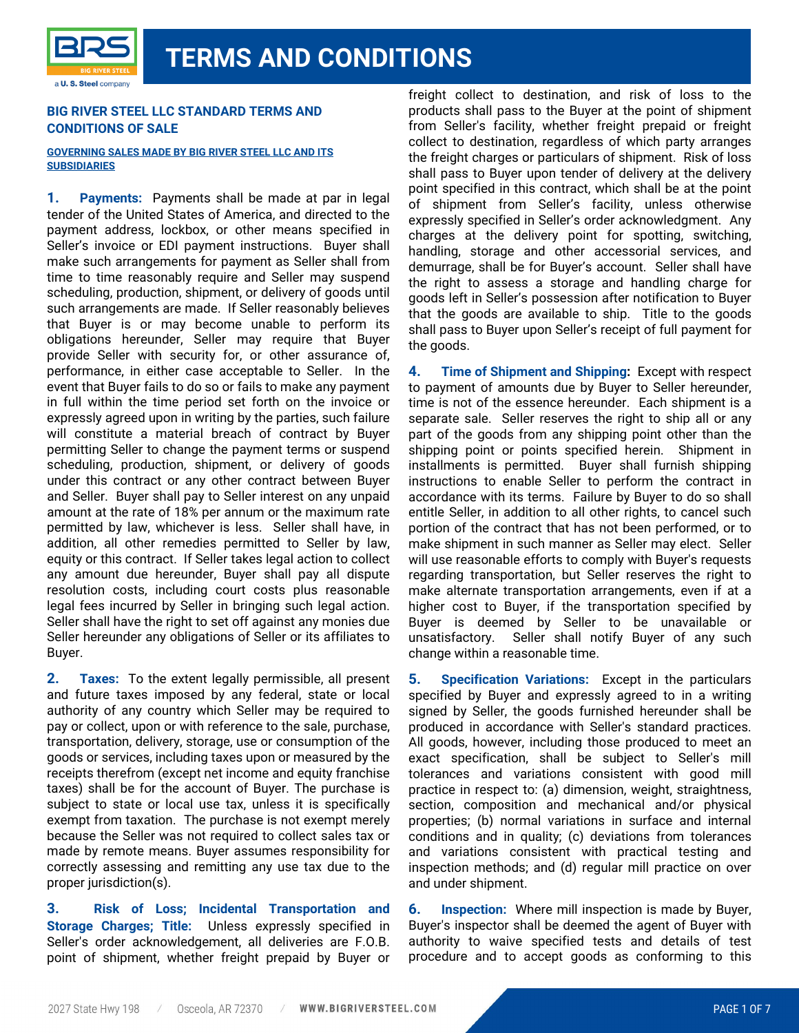### **BIG RIVER STEEL LLC STANDARD TERMS AND CONDITIONS OF SALE**

#### **GOVERNING SALES MADE BY BIG RIVER STEEL LLC AND ITS SUBSIDIARIES**

**1. Payments:** Payments shall be made at par in legal tender of the United States of America, and directed to the payment address, lockbox, or other means specified in Seller's invoice or EDI payment instructions. Buyer shall make such arrangements for payment as Seller shall from time to time reasonably require and Seller may suspend scheduling, production, shipment, or delivery of goods until such arrangements are made. If Seller reasonably believes that Buyer is or may become unable to perform its obligations hereunder, Seller may require that Buyer provide Seller with security for, or other assurance of, performance, in either case acceptable to Seller. In the event that Buyer fails to do so or fails to make any payment in full within the time period set forth on the invoice or expressly agreed upon in writing by the parties, such failure will constitute a material breach of contract by Buyer permitting Seller to change the payment terms or suspend scheduling, production, shipment, or delivery of goods under this contract or any other contract between Buyer and Seller. Buyer shall pay to Seller interest on any unpaid amount at the rate of 18% per annum or the maximum rate permitted by law, whichever is less. Seller shall have, in addition, all other remedies permitted to Seller by law, equity or this contract. If Seller takes legal action to collect any amount due hereunder, Buyer shall pay all dispute resolution costs, including court costs plus reasonable legal fees incurred by Seller in bringing such legal action. Seller shall have the right to set off against any monies due Seller hereunder any obligations of Seller or its affiliates to Buyer.

**2. Taxes:** To the extent legally permissible, all present and future taxes imposed by any federal, state or local authority of any country which Seller may be required to pay or collect, upon or with reference to the sale, purchase, transportation, delivery, storage, use or consumption of the goods or services, including taxes upon or measured by the receipts therefrom (except net income and equity franchise taxes) shall be for the account of Buyer. The purchase is subject to state or local use tax, unless it is specifically exempt from taxation. The purchase is not exempt merely because the Seller was not required to collect sales tax or made by remote means. Buyer assumes responsibility for correctly assessing and remitting any use tax due to the proper jurisdiction(s).

**3. Risk of Loss; Incidental Transportation and Storage Charges; Title:** Unless expressly specified in Seller's order acknowledgement, all deliveries are F.O.B. point of shipment, whether freight prepaid by Buyer or freight collect to destination, and risk of loss to the products shall pass to the Buyer at the point of shipment from Seller's facility, whether freight prepaid or freight collect to destination, regardless of which party arranges the freight charges or particulars of shipment. Risk of loss shall pass to Buyer upon tender of delivery at the delivery point specified in this contract, which shall be at the point of shipment from Seller's facility, unless otherwise expressly specified in Seller's order acknowledgment. Any charges at the delivery point for spotting, switching, handling, storage and other accessorial services, and demurrage, shall be for Buyer's account. Seller shall have the right to assess a storage and handling charge for goods left in Seller's possession after notification to Buyer that the goods are available to ship. Title to the goods shall pass to Buyer upon Seller's receipt of full payment for the goods.

**4. Time of Shipment and Shipping:** Except with respect to payment of amounts due by Buyer to Seller hereunder, time is not of the essence hereunder. Each shipment is a separate sale. Seller reserves the right to ship all or any part of the goods from any shipping point other than the shipping point or points specified herein. Shipment in installments is permitted. Buyer shall furnish shipping instructions to enable Seller to perform the contract in accordance with its terms. Failure by Buyer to do so shall entitle Seller, in addition to all other rights, to cancel such portion of the contract that has not been performed, or to make shipment in such manner as Seller may elect. Seller will use reasonable efforts to comply with Buyer's requests regarding transportation, but Seller reserves the right to make alternate transportation arrangements, even if at a higher cost to Buyer, if the transportation specified by Buyer is deemed by Seller to be unavailable or unsatisfactory. Seller shall notify Buyer of any such change within a reasonable time.

**5. Specification Variations:** Except in the particulars specified by Buyer and expressly agreed to in a writing signed by Seller, the goods furnished hereunder shall be produced in accordance with Seller's standard practices. All goods, however, including those produced to meet an exact specification, shall be subject to Seller's mill tolerances and variations consistent with good mill practice in respect to: (a) dimension, weight, straightness, section, composition and mechanical and/or physical properties; (b) normal variations in surface and internal conditions and in quality; (c) deviations from tolerances and variations consistent with practical testing and inspection methods; and (d) regular mill practice on over and under shipment.

**6. Inspection:** Where mill inspection is made by Buyer, Buyer's inspector shall be deemed the agent of Buyer with authority to waive specified tests and details of test procedure and to accept goods as conforming to this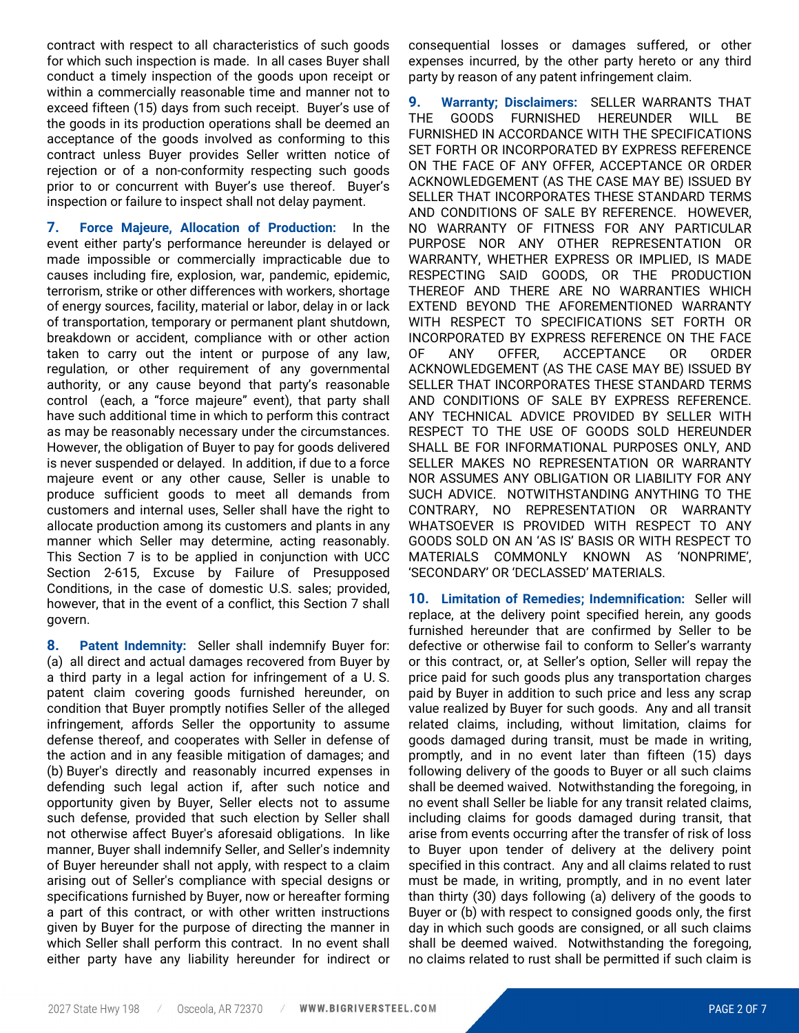contract with respect to all characteristics of such goods for which such inspection is made. In all cases Buyer shall conduct a timely inspection of the goods upon receipt or within a commercially reasonable time and manner not to exceed fifteen (15) days from such receipt. Buyer's use of the goods in its production operations shall be deemed an acceptance of the goods involved as conforming to this contract unless Buyer provides Seller written notice of rejection or of a non-conformity respecting such goods prior to or concurrent with Buyer's use thereof. Buyer's inspection or failure to inspect shall not delay payment.

**7. Force Majeure, Allocation of Production:** In the event either party's performance hereunder is delayed or made impossible or commercially impracticable due to causes including fire, explosion, war, pandemic, epidemic, terrorism, strike or other differences with workers, shortage of energy sources, facility, material or labor, delay in or lack of transportation, temporary or permanent plant shutdown, breakdown or accident, compliance with or other action taken to carry out the intent or purpose of any law, regulation, or other requirement of any governmental authority, or any cause beyond that party's reasonable control (each, a "force majeure" event), that party shall have such additional time in which to perform this contract as may be reasonably necessary under the circumstances. However, the obligation of Buyer to pay for goods delivered is never suspended or delayed. In addition, if due to a force majeure event or any other cause, Seller is unable to produce sufficient goods to meet all demands from customers and internal uses, Seller shall have the right to allocate production among its customers and plants in any manner which Seller may determine, acting reasonably. This Section 7 is to be applied in conjunction with UCC Section 2-615, Excuse by Failure of Presupposed Conditions, in the case of domestic U.S. sales; provided, however, that in the event of a conflict, this Section 7 shall govern.

**8. Patent Indemnity:** Seller shall indemnify Buyer for: (a) all direct and actual damages recovered from Buyer by a third party in a legal action for infringement of a U. S. patent claim covering goods furnished hereunder, on condition that Buyer promptly notifies Seller of the alleged infringement, affords Seller the opportunity to assume defense thereof, and cooperates with Seller in defense of the action and in any feasible mitigation of damages; and (b) Buyer's directly and reasonably incurred expenses in defending such legal action if, after such notice and opportunity given by Buyer, Seller elects not to assume such defense, provided that such election by Seller shall not otherwise affect Buyer's aforesaid obligations. In like manner, Buyer shall indemnify Seller, and Seller's indemnity of Buyer hereunder shall not apply, with respect to a claim arising out of Seller's compliance with special designs or specifications furnished by Buyer, now or hereafter forming a part of this contract, or with other written instructions given by Buyer for the purpose of directing the manner in which Seller shall perform this contract. In no event shall either party have any liability hereunder for indirect or

consequential losses or damages suffered, or other expenses incurred, by the other party hereto or any third party by reason of any patent infringement claim.

**9. Warranty; Disclaimers:** SELLER WARRANTS THAT THE GOODS FURNISHED HEREUNDER WILL BE FURNISHED IN ACCORDANCE WITH THE SPECIFICATIONS SET FORTH OR INCORPORATED BY EXPRESS REFERENCE ON THE FACE OF ANY OFFER, ACCEPTANCE OR ORDER ACKNOWLEDGEMENT (AS THE CASE MAY BE) ISSUED BY SELLER THAT INCORPORATES THESE STANDARD TERMS AND CONDITIONS OF SALE BY REFERENCE. HOWEVER, NO WARRANTY OF FITNESS FOR ANY PARTICULAR PURPOSE NOR ANY OTHER REPRESENTATION OR WARRANTY, WHETHER EXPRESS OR IMPLIED, IS MADE RESPECTING SAID GOODS, OR THE PRODUCTION THEREOF AND THERE ARE NO WARRANTIES WHICH EXTEND BEYOND THE AFOREMENTIONED WARRANTY WITH RESPECT TO SPECIFICATIONS SET FORTH OR INCORPORATED BY EXPRESS REFERENCE ON THE FACE OF ANY OFFER, ACCEPTANCE OR ORDER ACKNOWLEDGEMENT (AS THE CASE MAY BE) ISSUED BY SELLER THAT INCORPORATES THESE STANDARD TERMS AND CONDITIONS OF SALE BY EXPRESS REFERENCE. ANY TECHNICAL ADVICE PROVIDED BY SELLER WITH RESPECT TO THE USE OF GOODS SOLD HEREUNDER SHALL BE FOR INFORMATIONAL PURPOSES ONLY, AND SELLER MAKES NO REPRESENTATION OR WARRANTY NOR ASSUMES ANY OBLIGATION OR LIABILITY FOR ANY SUCH ADVICE. NOTWITHSTANDING ANYTHING TO THE CONTRARY, NO REPRESENTATION OR WARRANTY WHATSOEVER IS PROVIDED WITH RESPECT TO ANY GOODS SOLD ON AN 'AS IS' BASIS OR WITH RESPECT TO MATERIALS COMMONLY KNOWN AS 'NONPRIME', 'SECONDARY' OR 'DECLASSED' MATERIALS.

**10. Limitation of Remedies; Indemnification:** Seller will replace, at the delivery point specified herein, any goods furnished hereunder that are confirmed by Seller to be defective or otherwise fail to conform to Seller's warranty or this contract, or, at Seller's option, Seller will repay the price paid for such goods plus any transportation charges paid by Buyer in addition to such price and less any scrap value realized by Buyer for such goods. Any and all transit related claims, including, without limitation, claims for goods damaged during transit, must be made in writing, promptly, and in no event later than fifteen (15) days following delivery of the goods to Buyer or all such claims shall be deemed waived. Notwithstanding the foregoing, in no event shall Seller be liable for any transit related claims, including claims for goods damaged during transit, that arise from events occurring after the transfer of risk of loss to Buyer upon tender of delivery at the delivery point specified in this contract. Any and all claims related to rust must be made, in writing, promptly, and in no event later than thirty (30) days following (a) delivery of the goods to Buyer or (b) with respect to consigned goods only, the first day in which such goods are consigned, or all such claims shall be deemed waived. Notwithstanding the foregoing, no claims related to rust shall be permitted if such claim is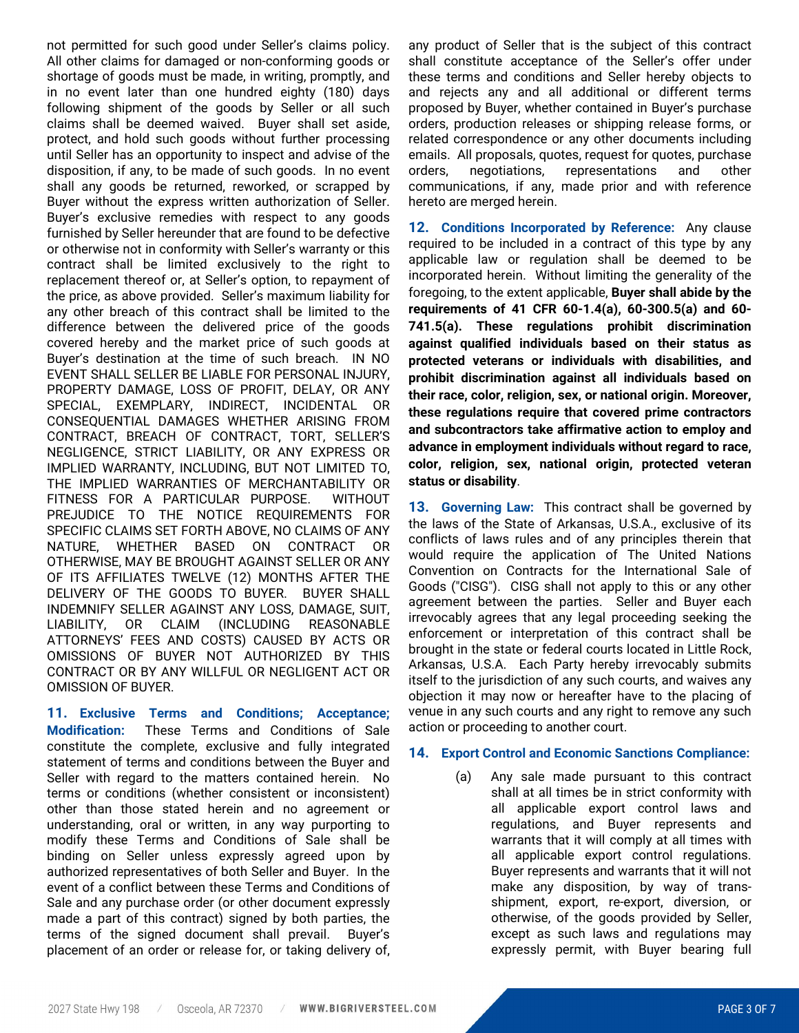not permitted for such good under Seller's claims policy. All other claims for damaged or non-conforming goods or shortage of goods must be made, in writing, promptly, and in no event later than one hundred eighty (180) days following shipment of the goods by Seller or all such claims shall be deemed waived. Buyer shall set aside, protect, and hold such goods without further processing until Seller has an opportunity to inspect and advise of the disposition, if any, to be made of such goods. In no event shall any goods be returned, reworked, or scrapped by Buyer without the express written authorization of Seller. Buyer's exclusive remedies with respect to any goods furnished by Seller hereunder that are found to be defective or otherwise not in conformity with Seller's warranty or this contract shall be limited exclusively to the right to replacement thereof or, at Seller's option, to repayment of the price, as above provided. Seller's maximum liability for any other breach of this contract shall be limited to the difference between the delivered price of the goods covered hereby and the market price of such goods at Buyer's destination at the time of such breach. IN NO EVENT SHALL SELLER BE LIABLE FOR PERSONAL INJURY, PROPERTY DAMAGE, LOSS OF PROFIT, DELAY, OR ANY SPECIAL, EXEMPLARY, INDIRECT, INCIDENTAL OR CONSEQUENTIAL DAMAGES WHETHER ARISING FROM CONTRACT, BREACH OF CONTRACT, TORT, SELLER'S NEGLIGENCE, STRICT LIABILITY, OR ANY EXPRESS OR IMPLIED WARRANTY, INCLUDING, BUT NOT LIMITED TO, THE IMPLIED WARRANTIES OF MERCHANTABILITY OR FITNESS FOR A PARTICULAR PURPOSE. WITHOUT PREJUDICE TO THE NOTICE REQUIREMENTS FOR SPECIFIC CLAIMS SET FORTH ABOVE, NO CLAIMS OF ANY NATURE, WHETHER BASED ON CONTRACT OR OTHERWISE, MAY BE BROUGHT AGAINST SELLER OR ANY OF ITS AFFILIATES TWELVE (12) MONTHS AFTER THE DELIVERY OF THE GOODS TO BUYER. BUYER SHALL INDEMNIFY SELLER AGAINST ANY LOSS, DAMAGE, SUIT, LIABILITY, OR CLAIM (INCLUDING REASONABLE ATTORNEYS' FEES AND COSTS) CAUSED BY ACTS OR OMISSIONS OF BUYER NOT AUTHORIZED BY THIS CONTRACT OR BY ANY WILLFUL OR NEGLIGENT ACT OR OMISSION OF BUYER.

**11. Exclusive Terms and Conditions; Acceptance; Modification:** These Terms and Conditions of Sale constitute the complete, exclusive and fully integrated statement of terms and conditions between the Buyer and Seller with regard to the matters contained herein. No terms or conditions (whether consistent or inconsistent) other than those stated herein and no agreement or understanding, oral or written, in any way purporting to modify these Terms and Conditions of Sale shall be binding on Seller unless expressly agreed upon by authorized representatives of both Seller and Buyer. In the event of a conflict between these Terms and Conditions of Sale and any purchase order (or other document expressly made a part of this contract) signed by both parties, the terms of the signed document shall prevail. Buyer's placement of an order or release for, or taking delivery of,

any product of Seller that is the subject of this contract shall constitute acceptance of the Seller's offer under these terms and conditions and Seller hereby objects to and rejects any and all additional or different terms proposed by Buyer, whether contained in Buyer's purchase orders, production releases or shipping release forms, or related correspondence or any other documents including emails. All proposals, quotes, request for quotes, purchase orders, negotiations, representations and other communications, if any, made prior and with reference hereto are merged herein.

**12. Conditions Incorporated by Reference:** Any clause required to be included in a contract of this type by any applicable law or regulation shall be deemed to be incorporated herein. Without limiting the generality of the foregoing, to the extent applicable, **Buyer shall abide by the requirements of 41 CFR 60-1.4(a), 60-300.5(a) and 60- 741.5(a). These regulations prohibit discrimination against qualified individuals based on their status as protected veterans or individuals with disabilities, and prohibit discrimination against all individuals based on their race, color, religion, sex, or national origin. Moreover, these regulations require that covered prime contractors and subcontractors take affirmative action to employ and advance in employment individuals without regard to race, color, religion, sex, national origin, protected veteran status or disability**.

**13. Governing Law:** This contract shall be governed by the laws of the State of Arkansas, U.S.A., exclusive of its conflicts of laws rules and of any principles therein that would require the application of The United Nations Convention on Contracts for the International Sale of Goods ("CISG"). CISG shall not apply to this or any other agreement between the parties. Seller and Buyer each irrevocably agrees that any legal proceeding seeking the enforcement or interpretation of this contract shall be brought in the state or federal courts located in Little Rock, Arkansas, U.S.A. Each Party hereby irrevocably submits itself to the jurisdiction of any such courts, and waives any objection it may now or hereafter have to the placing of venue in any such courts and any right to remove any such action or proceeding to another court.

### **14. Export Control and Economic Sanctions Compliance:**

(a) Any sale made pursuant to this contract shall at all times be in strict conformity with all applicable export control laws and regulations, and Buyer represents and warrants that it will comply at all times with all applicable export control regulations. Buyer represents and warrants that it will not make any disposition, by way of transshipment, export, re-export, diversion, or otherwise, of the goods provided by Seller, except as such laws and regulations may expressly permit, with Buyer bearing full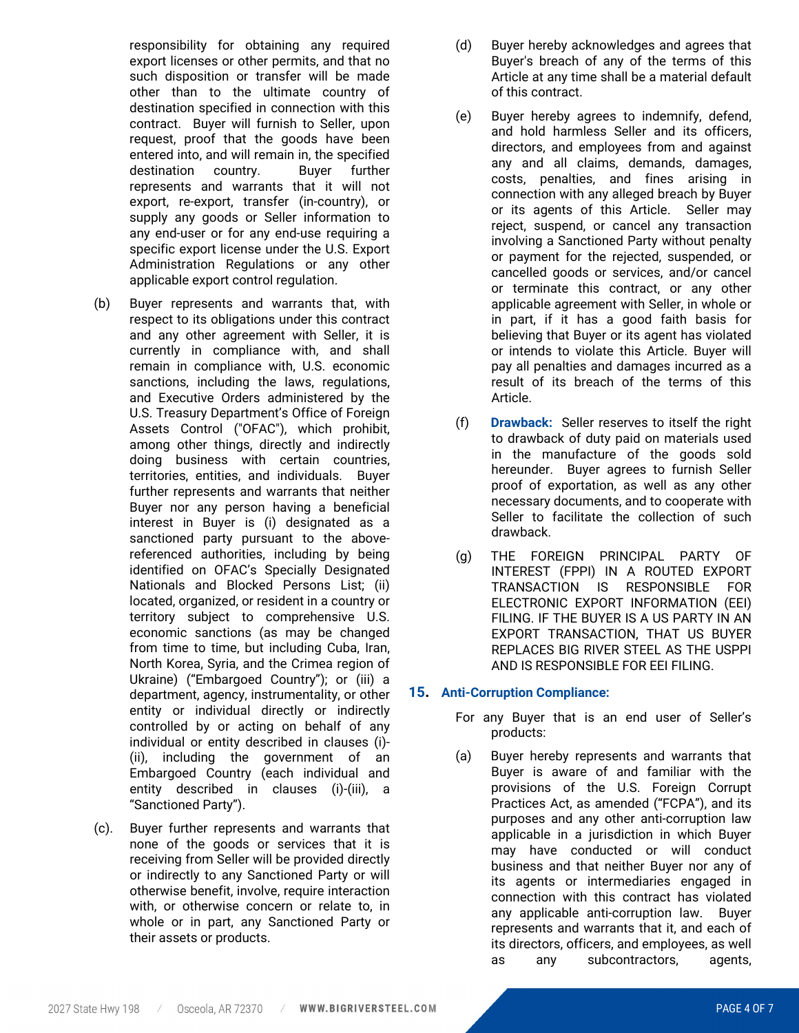responsibility for obtaining any required export licenses or other permits, and that no such disposition or transfer will be made other than to the ultimate country of destination specified in connection with this contract. Buyer will furnish to Seller, upon request, proof that the goods have been entered into, and will remain in, the specified destination country. Buyer further represents and warrants that it will not export, re-export, transfer (in-country), or supply any goods or Seller information to any end-user or for any end-use requiring a specific export license under the U.S. Export Administration Regulations or any other applicable export control regulation.

- (b) Buyer represents and warrants that, with respect to its obligations under this contract and any other agreement with Seller, it is currently in compliance with, and shall remain in compliance with, U.S. economic sanctions, including the laws, regulations, and Executive Orders administered by the U.S. Treasury Department's Office of Foreign Assets Control ("OFAC"), which prohibit, among other things, directly and indirectly doing business with certain countries, territories, entities, and individuals. Buyer further represents and warrants that neither Buyer nor any person having a beneficial interest in Buyer is (i) designated as a sanctioned party pursuant to the abovereferenced authorities, including by being identified on OFAC's Specially Designated Nationals and Blocked Persons List; (ii) located, organized, or resident in a country or territory subject to comprehensive U.S. economic sanctions (as may be changed from time to time, but including Cuba, Iran, North Korea, Syria, and the Crimea region of Ukraine) ("Embargoed Country"); or (iii) a department, agency, instrumentality, or other entity or individual directly or indirectly controlled by or acting on behalf of any individual or entity described in clauses (i)- (ii), including the government of an Embargoed Country (each individual and entity described in clauses (i)-(iii), a "Sanctioned Party").
- (c). Buyer further represents and warrants that none of the goods or services that it is receiving from Seller will be provided directly or indirectly to any Sanctioned Party or will otherwise benefit, involve, require interaction with, or otherwise concern or relate to, in whole or in part, any Sanctioned Party or their assets or products.
- (d) Buyer hereby acknowledges and agrees that Buyer's breach of any of the terms of this Article at any time shall be a material default of this contract.
- (e) Buyer hereby agrees to indemnify, defend, and hold harmless Seller and its officers, directors, and employees from and against any and all claims, demands, damages, costs, penalties, and fines arising in connection with any alleged breach by Buyer or its agents of this Article. Seller may reject, suspend, or cancel any transaction involving a Sanctioned Party without penalty or payment for the rejected, suspended, or cancelled goods or services, and/or cancel or terminate this contract, or any other applicable agreement with Seller, in whole or in part, if it has a good faith basis for believing that Buyer or its agent has violated or intends to violate this Article. Buyer will pay all penalties and damages incurred as a result of its breach of the terms of this Article.
- (f) **Drawback:** Seller reserves to itself the right to drawback of duty paid on materials used in the manufacture of the goods sold hereunder. Buyer agrees to furnish Seller proof of exportation, as well as any other necessary documents, and to cooperate with Seller to facilitate the collection of such drawback.
- (g) THE FOREIGN PRINCIPAL PARTY OF INTEREST (FPPI) IN A ROUTED EXPORT TRANSACTION IS RESPONSIBLE FOR ELECTRONIC EXPORT INFORMATION (EEI) FILING. IF THE BUYER IS A US PARTY IN AN EXPORT TRANSACTION, THAT US BUYER REPLACES BIG RIVER STEEL AS THE USPPI AND IS RESPONSIBLE FOR EEI FILING.

# **15. Anti-Corruption Compliance:**

- For any Buyer that is an end user of Seller's products:
- (a) Buyer hereby represents and warrants that Buyer is aware of and familiar with the provisions of the U.S. Foreign Corrupt Practices Act, as amended ("FCPA"), and its purposes and any other anti-corruption law applicable in a jurisdiction in which Buyer may have conducted or will conduct business and that neither Buyer nor any of its agents or intermediaries engaged in connection with this contract has violated any applicable anti-corruption law. Buyer represents and warrants that it, and each of its directors, officers, and employees, as well as any subcontractors, agents,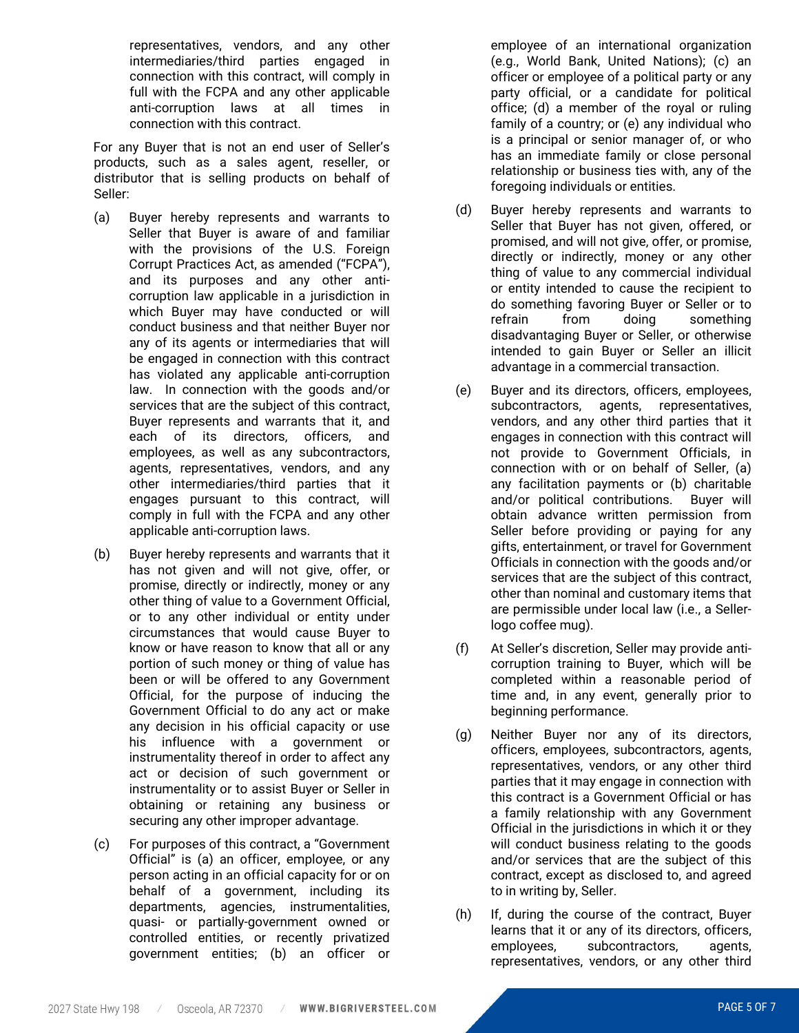representatives, vendors, and any other intermediaries/third parties engaged in connection with this contract, will comply in full with the FCPA and any other applicable anti-corruption laws at all times in connection with this contract.

For any Buyer that is not an end user of Seller's products, such as a sales agent, reseller, or distributor that is selling products on behalf of Seller:

- (a) Buyer hereby represents and warrants to Seller that Buyer is aware of and familiar with the provisions of the U.S. Foreign Corrupt Practices Act, as amended ("FCPA"), and its purposes and any other anticorruption law applicable in a jurisdiction in which Buyer may have conducted or will conduct business and that neither Buyer nor any of its agents or intermediaries that will be engaged in connection with this contract has violated any applicable anti-corruption law. In connection with the goods and/or services that are the subject of this contract, Buyer represents and warrants that it, and each of its directors, officers, and employees, as well as any subcontractors, agents, representatives, vendors, and any other intermediaries/third parties that it engages pursuant to this contract, will comply in full with the FCPA and any other applicable anti-corruption laws.
- (b) Buyer hereby represents and warrants that it has not given and will not give, offer, or promise, directly or indirectly, money or any other thing of value to a Government Official, or to any other individual or entity under circumstances that would cause Buyer to know or have reason to know that all or any portion of such money or thing of value has been or will be offered to any Government Official, for the purpose of inducing the Government Official to do any act or make any decision in his official capacity or use his influence with a government or instrumentality thereof in order to affect any act or decision of such government or instrumentality or to assist Buyer or Seller in obtaining or retaining any business or securing any other improper advantage.
- (c) For purposes of this contract, a "Government Official" is (a) an officer, employee, or any person acting in an official capacity for or on behalf of a government, including its departments, agencies, instrumentalities, quasi- or partially-government owned or controlled entities, or recently privatized government entities; (b) an officer or

employee of an international organization (e.g., World Bank, United Nations); (c) an officer or employee of a political party or any party official, or a candidate for political office; (d) a member of the royal or ruling family of a country; or (e) any individual who is a principal or senior manager of, or who has an immediate family or close personal relationship or business ties with, any of the foregoing individuals or entities.

- (d) Buyer hereby represents and warrants to Seller that Buyer has not given, offered, or promised, and will not give, offer, or promise, directly or indirectly, money or any other thing of value to any commercial individual or entity intended to cause the recipient to do something favoring Buyer or Seller or to refrain from doing something disadvantaging Buyer or Seller, or otherwise intended to gain Buyer or Seller an illicit advantage in a commercial transaction.
- (e) Buyer and its directors, officers, employees, subcontractors, agents, representatives, vendors, and any other third parties that it engages in connection with this contract will not provide to Government Officials, in connection with or on behalf of Seller, (a) any facilitation payments or (b) charitable and/or political contributions. Buyer will obtain advance written permission from Seller before providing or paying for any gifts, entertainment, or travel for Government Officials in connection with the goods and/or services that are the subject of this contract, other than nominal and customary items that are permissible under local law (i.e., a Sellerlogo coffee mug).
- (f) At Seller's discretion, Seller may provide anticorruption training to Buyer, which will be completed within a reasonable period of time and, in any event, generally prior to beginning performance.
- (g) Neither Buyer nor any of its directors, officers, employees, subcontractors, agents, representatives, vendors, or any other third parties that it may engage in connection with this contract is a Government Official or has a family relationship with any Government Official in the jurisdictions in which it or they will conduct business relating to the goods and/or services that are the subject of this contract, except as disclosed to, and agreed to in writing by, Seller.
- (h) If, during the course of the contract, Buyer learns that it or any of its directors, officers, employees, subcontractors, agents, representatives, vendors, or any other third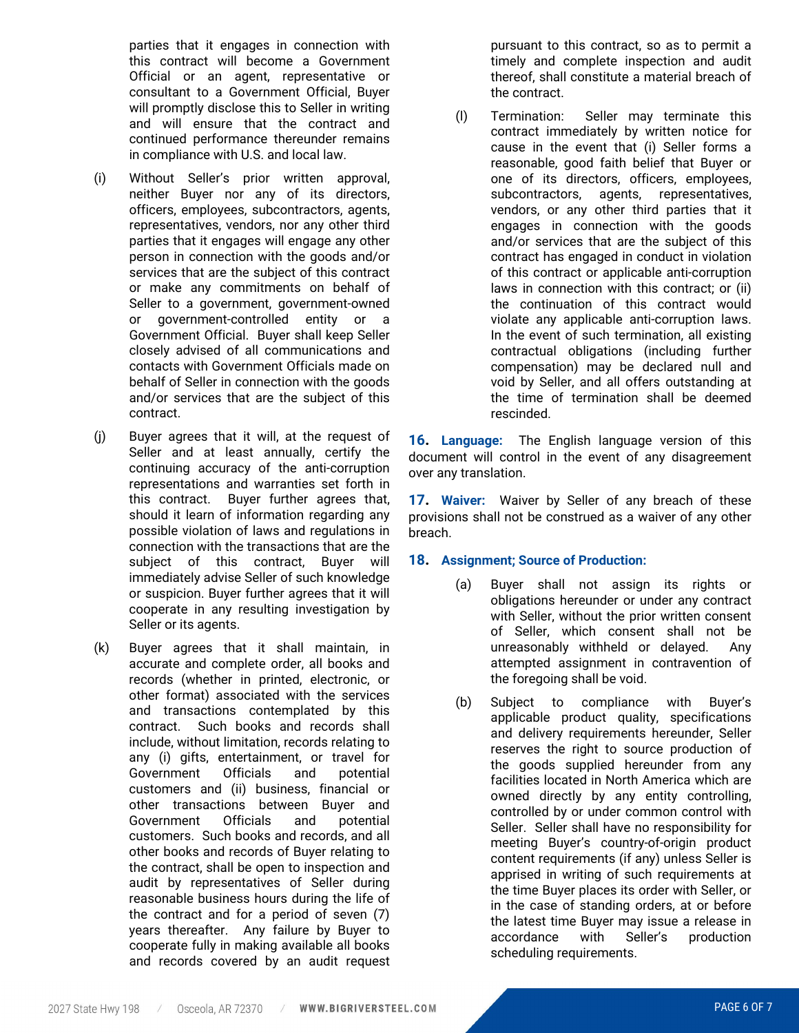parties that it engages in connection with this contract will become a Government Official or an agent, representative or consultant to a Government Official, Buyer will promptly disclose this to Seller in writing and will ensure that the contract and continued performance thereunder remains in compliance with U.S. and local law.

- (i) Without Seller's prior written approval, neither Buyer nor any of its directors, officers, employees, subcontractors, agents, representatives, vendors, nor any other third parties that it engages will engage any other person in connection with the goods and/or services that are the subject of this contract or make any commitments on behalf of Seller to a government, government-owned or government-controlled entity or a Government Official. Buyer shall keep Seller closely advised of all communications and contacts with Government Officials made on behalf of Seller in connection with the goods and/or services that are the subject of this contract.
- (j) Buyer agrees that it will, at the request of Seller and at least annually, certify the continuing accuracy of the anti-corruption representations and warranties set forth in this contract. Buyer further agrees that, should it learn of information regarding any possible violation of laws and regulations in connection with the transactions that are the subject of this contract. Buver will immediately advise Seller of such knowledge or suspicion. Buyer further agrees that it will cooperate in any resulting investigation by Seller or its agents.
- (k) Buyer agrees that it shall maintain, in accurate and complete order, all books and records (whether in printed, electronic, or other format) associated with the services and transactions contemplated by this contract. Such books and records shall include, without limitation, records relating to any (i) gifts, entertainment, or travel for Government Officials and potential customers and (ii) business, financial or other transactions between Buyer and Government Officials and potential customers. Such books and records, and all other books and records of Buyer relating to the contract, shall be open to inspection and audit by representatives of Seller during reasonable business hours during the life of the contract and for a period of seven (7) years thereafter. Any failure by Buyer to cooperate fully in making available all books and records covered by an audit request

pursuant to this contract, so as to permit a timely and complete inspection and audit thereof, shall constitute a material breach of the contract.

(l) Termination: Seller may terminate this contract immediately by written notice for cause in the event that (i) Seller forms a reasonable, good faith belief that Buyer or one of its directors, officers, employees, subcontractors, agents, representatives, vendors, or any other third parties that it engages in connection with the goods and/or services that are the subject of this contract has engaged in conduct in violation of this contract or applicable anti-corruption laws in connection with this contract; or (ii) the continuation of this contract would violate any applicable anti-corruption laws. In the event of such termination, all existing contractual obligations (including further compensation) may be declared null and void by Seller, and all offers outstanding at the time of termination shall be deemed rescinded.

**16. Language:** The English language version of this document will control in the event of any disagreement over any translation.

**17. Waiver:** Waiver by Seller of any breach of these provisions shall not be construed as a waiver of any other breach.

# **18. Assignment; Source of Production:**

- (a) Buyer shall not assign its rights or obligations hereunder or under any contract with Seller, without the prior written consent of Seller, which consent shall not be unreasonably withheld or delayed. Any attempted assignment in contravention of the foregoing shall be void.
- (b) Subject to compliance with Buyer's applicable product quality, specifications and delivery requirements hereunder, Seller reserves the right to source production of the goods supplied hereunder from any facilities located in North America which are owned directly by any entity controlling, controlled by or under common control with Seller. Seller shall have no responsibility for meeting Buyer's country-of-origin product content requirements (if any) unless Seller is apprised in writing of such requirements at the time Buyer places its order with Seller, or in the case of standing orders, at or before the latest time Buyer may issue a release in accordance with Seller's production scheduling requirements.